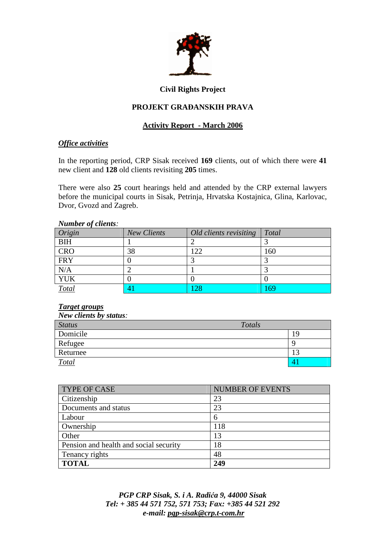

# **Civil Rights Project**

# **PROJEKT GRA**ð**ANSKIH PRAVA**

# **Activity Report - March 2006**

## *Office activities*

In the reporting period, CRP Sisak received **169** clients, out of which there were **41** new client and **128** old clients revisiting **205** times.

There were also **25** court hearings held and attended by the CRP external lawyers before the municipal courts in Sisak, Petrinja, Hrvatska Kostajnica, Glina, Karlovac, Dvor, Gvozd and Zagreb.

#### *Number of clients:*

| Origin     | <b>New Clients</b> | Old clients revisiting | <b>Total</b> |
|------------|--------------------|------------------------|--------------|
| <b>BIH</b> |                    |                        |              |
| <b>CRO</b> | 38                 | 122                    | 160          |
| <b>FRY</b> |                    |                        |              |
| N/A        |                    |                        |              |
| <b>YUK</b> |                    |                        |              |
| Total      |                    | 28                     | .69          |

#### *Target groups*

| <b>New clients by status:</b> |        |    |
|-------------------------------|--------|----|
| <b>Status</b>                 | Totals |    |
| Domicile                      |        | 19 |
| Refugee                       |        |    |
| Returnee                      |        |    |
| <b>Total</b>                  |        |    |

| <b>TYPE OF CASE</b>                    | <b>NUMBER OF EVENTS</b> |
|----------------------------------------|-------------------------|
| Citizenship                            | 23                      |
| Documents and status                   | 23                      |
| Labour                                 | 6                       |
| Ownership                              | 118                     |
| Other                                  | 13                      |
| Pension and health and social security | 18                      |
| Tenancy rights                         | 48                      |
| <b>TOTAL</b>                           | 249                     |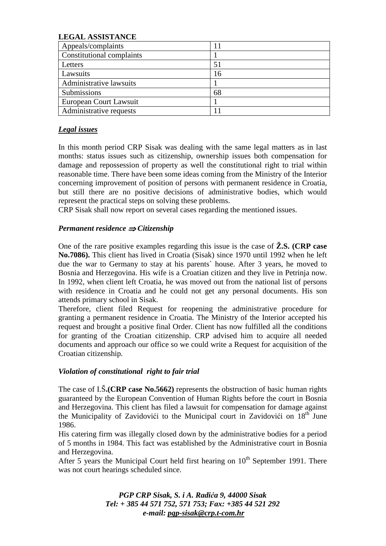## **LEGAL ASSISTANCE**

| Appeals/complaints        |    |
|---------------------------|----|
| Constitutional complaints |    |
| Letters                   | 51 |
| Lawsuits                  | 16 |
| Administrative lawsuits   |    |
| Submissions               | 68 |
| European Court Lawsuit    |    |
| Administrative requests   |    |

#### *Legal issues*

In this month period CRP Sisak was dealing with the same legal matters as in last months: status issues such as citizenship, ownership issues both compensation for damage and repossession of property as well the constitutional right to trial within reasonable time. There have been some ideas coming from the Ministry of the Interior concerning improvement of position of persons with permanent residence in Croatia, but still there are no positive decisions of administrative bodies, which would represent the practical steps on solving these problems.

CRP Sisak shall now report on several cases regarding the mentioned issues.

## *Permanent residence* ⇒ *Citizenship*

One of the rare positive examples regarding this issue is the case of **Ž.S. (CRP case No.7086).** This client has lived in Croatia (Sisak) since 1970 until 1992 when he left due the war to Germany to stay at his parents` house. After 3 years, he moved to Bosnia and Herzegovina. His wife is a Croatian citizen and they live in Petrinja now. In 1992, when client left Croatia, he was moved out from the national list of persons with residence in Croatia and he could not get any personal documents. His son attends primary school in Sisak.

Therefore, client filed Request for reopening the administrative procedure for granting a permanent residence in Croatia. The Ministry of the Interior accepted his request and brought a positive final Order. Client has now fulfilled all the conditions for granting of the Croatian citizenship. CRP advised him to acquire all needed documents and approach our office so we could write a Request for acquisition of the Croatian citizenship.

#### *Violation of constitutional right to fair trial*

The case of I.Š**.(CRP case No.5662)** represents the obstruction of basic human rights guaranteed by the European Convention of Human Rights before the court in Bosnia and Herzegovina. This client has filed a lawsuit for compensation for damage against the Municipality of Zavidovići to the Municipal court in Zavidovići on  $18<sup>th</sup>$  June 1986.

His catering firm was illegally closed down by the administrative bodies for a period of 5 months in 1984. This fact was established by the Administrative court in Bosnia and Herzegovina.

After 5 years the Municipal Court held first hearing on  $10<sup>th</sup>$  September 1991. There was not court hearings scheduled since.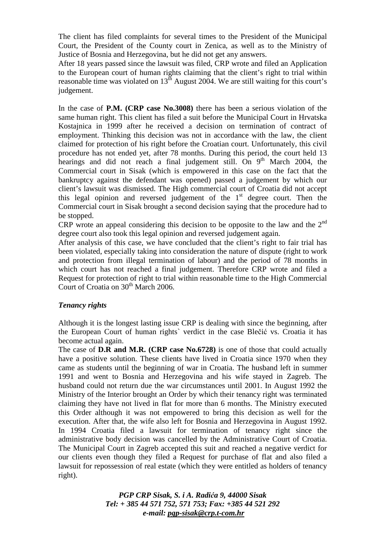The client has filed complaints for several times to the President of the Municipal Court, the President of the County court in Zenica, as well as to the Ministry of Justice of Bosnia and Herzegovina, but he did not get any answers.

After 18 years passed since the lawsuit was filed, CRP wrote and filed an Application to the European court of human rights claiming that the client's right to trial within reasonable time was violated on  $13<sup>th</sup>$  August 2004. We are still waiting for this court's judgement.

In the case of **P.M. (CRP case No.3008)** there has been a serious violation of the same human right. This client has filed a suit before the Municipal Court in Hrvatska Kostajnica in 1999 after he received a decision on termination of contract of employment. Thinking this decision was not in accordance with the law, the client claimed for protection of his right before the Croatian court. Unfortunately, this civil procedure has not ended yet, after 78 months. During this period, the court held 13 hearings and did not reach a final judgement still. On  $9<sup>th</sup>$  March 2004, the Commercial court in Sisak (which is empowered in this case on the fact that the bankruptcy against the defendant was opened) passed a judgement by which our client's lawsuit was dismissed. The High commercial court of Croatia did not accept this legal opinion and reversed judgement of the  $1<sup>st</sup>$  degree court. Then the Commercial court in Sisak brought a second decision saying that the procedure had to be stopped.

CRP wrote an appeal considering this decision to be opposite to the law and the  $2<sup>nd</sup>$ degree court also took this legal opinion and reversed judgement again.

After analysis of this case, we have concluded that the client's right to fair trial has been violated, especially taking into consideration the nature of dispute (right to work and protection from illegal termination of labour) and the period of 78 months in which court has not reached a final judgement. Therefore CRP wrote and filed a Request for protection of right to trial within reasonable time to the High Commercial Court of Croatia on 30<sup>th</sup> March 2006.

#### *Tenancy rights*

Although it is the longest lasting issue CRP is dealing with since the beginning, after the European Court of human rights` verdict in the case Blečić vs. Croatia it has become actual again.

The case of **D.R and M.R. (CRP case No.6728)** is one of those that could actually have a positive solution. These clients have lived in Croatia since 1970 when they came as students until the beginning of war in Croatia. The husband left in summer 1991 and went to Bosnia and Herzegovina and his wife stayed in Zagreb. The husband could not return due the war circumstances until 2001. In August 1992 the Ministry of the Interior brought an Order by which their tenancy right was terminated claiming they have not lived in flat for more than 6 months. The Ministry executed this Order although it was not empowered to bring this decision as well for the execution. After that, the wife also left for Bosnia and Herzegovina in August 1992. In 1994 Croatia filed a lawsuit for termination of tenancy right since the administrative body decision was cancelled by the Administrative Court of Croatia. The Municipal Court in Zagreb accepted this suit and reached a negative verdict for our clients even though they filed a Request for purchase of flat and also filed a lawsuit for repossession of real estate (which they were entitled as holders of tenancy right).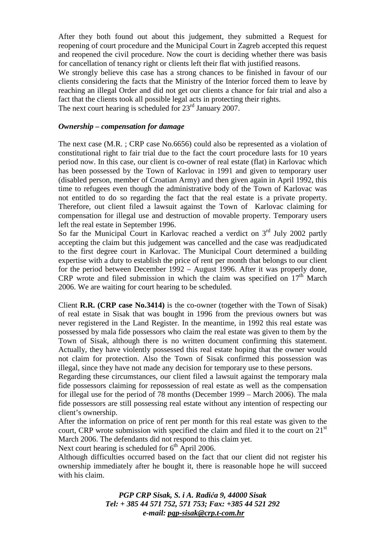After they both found out about this judgement, they submitted a Request for reopening of court procedure and the Municipal Court in Zagreb accepted this request and reopened the civil procedure. Now the court is deciding whether there was basis for cancellation of tenancy right or clients left their flat with justified reasons.

We strongly believe this case has a strong chances to be finished in favour of our clients considering the facts that the Ministry of the Interior forced them to leave by reaching an illegal Order and did not get our clients a chance for fair trial and also a fact that the clients took all possible legal acts in protecting their rights. The next court hearing is scheduled for  $23<sup>rd</sup>$  January 2007.

## *Ownership – compensation for damage*

The next case (M.R. ; CRP case No.6656) could also be represented as a violation of constitutional right to fair trial due to the fact the court procedure lasts for 10 years period now. In this case, our client is co-owner of real estate (flat) in Karlovac which has been possessed by the Town of Karlovac in 1991 and given to temporary user (disabled person, member of Croatian Army) and then given again in April 1992, this time to refugees even though the administrative body of the Town of Karlovac was not entitled to do so regarding the fact that the real estate is a private property. Therefore, out client filed a lawsuit against the Town of Karlovac claiming for compensation for illegal use and destruction of movable property. Temporary users left the real estate in September 1996.

So far the Municipal Court in Karlovac reached a verdict on  $3<sup>rd</sup>$  July 2002 partly accepting the claim but this judgement was cancelled and the case was readjudicated to the first degree court in Karlovac. The Municipal Court determined a building expertise with a duty to establish the price of rent per month that belongs to our client for the period between December 1992 – August 1996. After it was properly done, CRP wrote and filed submission in which the claim was specified on  $17<sup>th</sup>$  March 2006. We are waiting for court hearing to be scheduled.

Client **R.R. (CRP case No.3414)** is the co-owner (together with the Town of Sisak) of real estate in Sisak that was bought in 1996 from the previous owners but was never registered in the Land Register. In the meantime, in 1992 this real estate was possessed by mala fide possessors who claim the real estate was given to them by the Town of Sisak, although there is no written document confirming this statement. Actually, they have violently possessed this real estate hoping that the owner would not claim for protection. Also the Town of Sisak confirmed this possession was illegal, since they have not made any decision for temporary use to these persons.

Regarding these circumstances, our client filed a lawsuit against the temporary mala fide possessors claiming for repossession of real estate as well as the compensation for illegal use for the period of 78 months (December 1999 – March 2006). The mala fide possessors are still possessing real estate without any intention of respecting our client's ownership.

After the information on price of rent per month for this real estate was given to the court, CRP wrote submission with specified the claim and filed it to the court on  $21<sup>st</sup>$ March 2006. The defendants did not respond to this claim yet.

Next court hearing is scheduled for  $6<sup>th</sup>$  April 2006.

Although difficulties occurred based on the fact that our client did not register his ownership immediately after he bought it, there is reasonable hope he will succeed with his claim.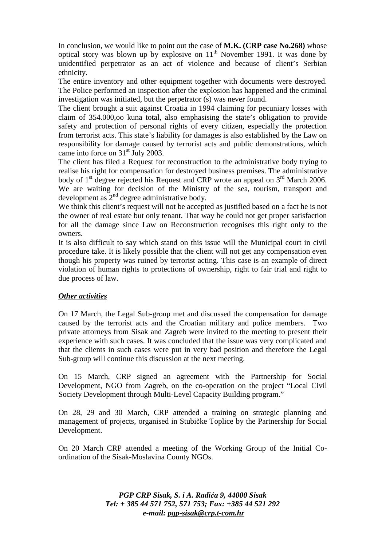In conclusion, we would like to point out the case of **M.K. (CRP case No.268)** whose optical story was blown up by explosive on  $11<sup>th</sup>$  November 1991. It was done by unidentified perpetrator as an act of violence and because of client's Serbian ethnicity.

The entire inventory and other equipment together with documents were destroyed. The Police performed an inspection after the explosion has happened and the criminal investigation was initiated, but the perpetrator (s) was never found.

The client brought a suit against Croatia in 1994 claiming for pecuniary losses with claim of 354.000,oo kuna total, also emphasising the state's obligation to provide safety and protection of personal rights of every citizen, especially the protection from terrorist acts. This state's liability for damages is also established by the Law on responsibility for damage caused by terrorist acts and public demonstrations, which came into force on 31<sup>st</sup> July 2003.

The client has filed a Request for reconstruction to the administrative body trying to realise his right for compensation for destroyed business premises. The administrative body of  $1<sup>st</sup>$  degree rejected his Request and CRP wrote an appeal on  $3<sup>rd</sup>$  March 2006. We are waiting for decision of the Ministry of the sea, tourism, transport and development as  $2<sup>nd</sup>$  degree administrative body.

We think this client's request will not be accepted as justified based on a fact he is not the owner of real estate but only tenant. That way he could not get proper satisfaction for all the damage since Law on Reconstruction recognises this right only to the owners.

It is also difficult to say which stand on this issue will the Municipal court in civil procedure take. It is likely possible that the client will not get any compensation even though his property was ruined by terrorist acting. This case is an example of direct violation of human rights to protections of ownership, right to fair trial and right to due process of law.

# *Other activities*

On 17 March, the Legal Sub-group met and discussed the compensation for damage caused by the terrorist acts and the Croatian military and police members. Two private attorneys from Sisak and Zagreb were invited to the meeting to present their experience with such cases. It was concluded that the issue was very complicated and that the clients in such cases were put in very bad position and therefore the Legal Sub-group will continue this discussion at the next meeting.

On 15 March, CRP signed an agreement with the Partnership for Social Development, NGO from Zagreb, on the co-operation on the project "Local Civil Society Development through Multi-Level Capacity Building program."

On 28, 29 and 30 March, CRP attended a training on strategic planning and management of projects, organised in Stubičke Toplice by the Partnership for Social Development.

On 20 March CRP attended a meeting of the Working Group of the Initial Coordination of the Sisak-Moslavina County NGOs.